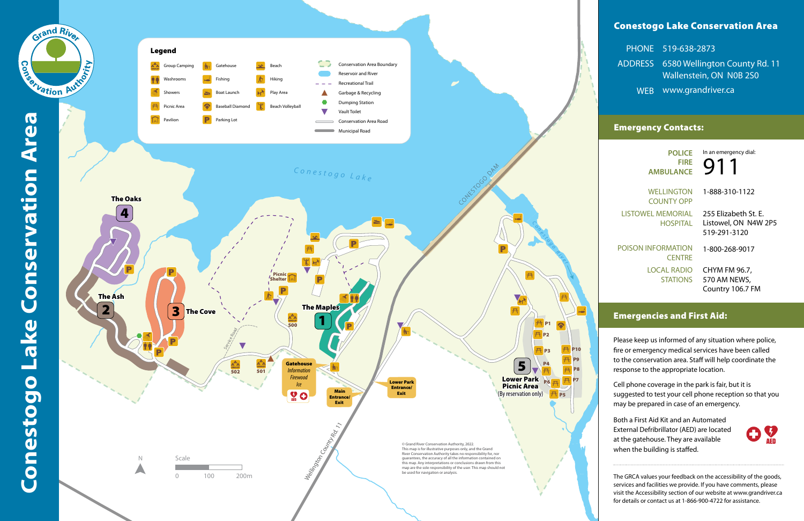# Conestogo Lake Conservation Area

|            | PHONE 519-638-2873                    |
|------------|---------------------------------------|
|            | ADDRESS 6580 Wellington County Rd. 11 |
|            | Wallenstein, ON N0B 2S0               |
| <b>WEB</b> | www.grandriver.ca                     |

### Emergency Contacts:

## Emergencies and First Aid:

Please keep us informed of any situation where police, fire or emergency medical services have been called to the conservation area. Staff will help coordinate the response to the appropriate location.

**9** In an emergency dial:

Cell phone coverage in the park is fair, but it is suggested to test your cell phone reception so that you may be prepared in case of an emergency.

**POLICE FIRE AMBULANCE**

WELLINGTON COUNTY OPP LISTOWEL MEMORIAL HOSPITAL

POISON INFORMATION **CENTRE** LOCAL RADIO STATIONS

1-888-310-1122

255 Elizabeth St. E. Listowel, ON N4W 2P5 519-291-3120

1-800-268-9017

CHYM FM 96.7, 570 AM NEWS, Country 106.7 FM

Both a First Aid Kit and an Automated External Defribrillator (AED) are located at the gatehouse. They are available when the building is staffed.



The GRCA values your feedback on the accessibility of the goods, services and facilities we provide. If you have comments, please visit the Accessibility section of our website at www.grandriver.ca for details or contact us at 1-866-900-4722 for assistance.